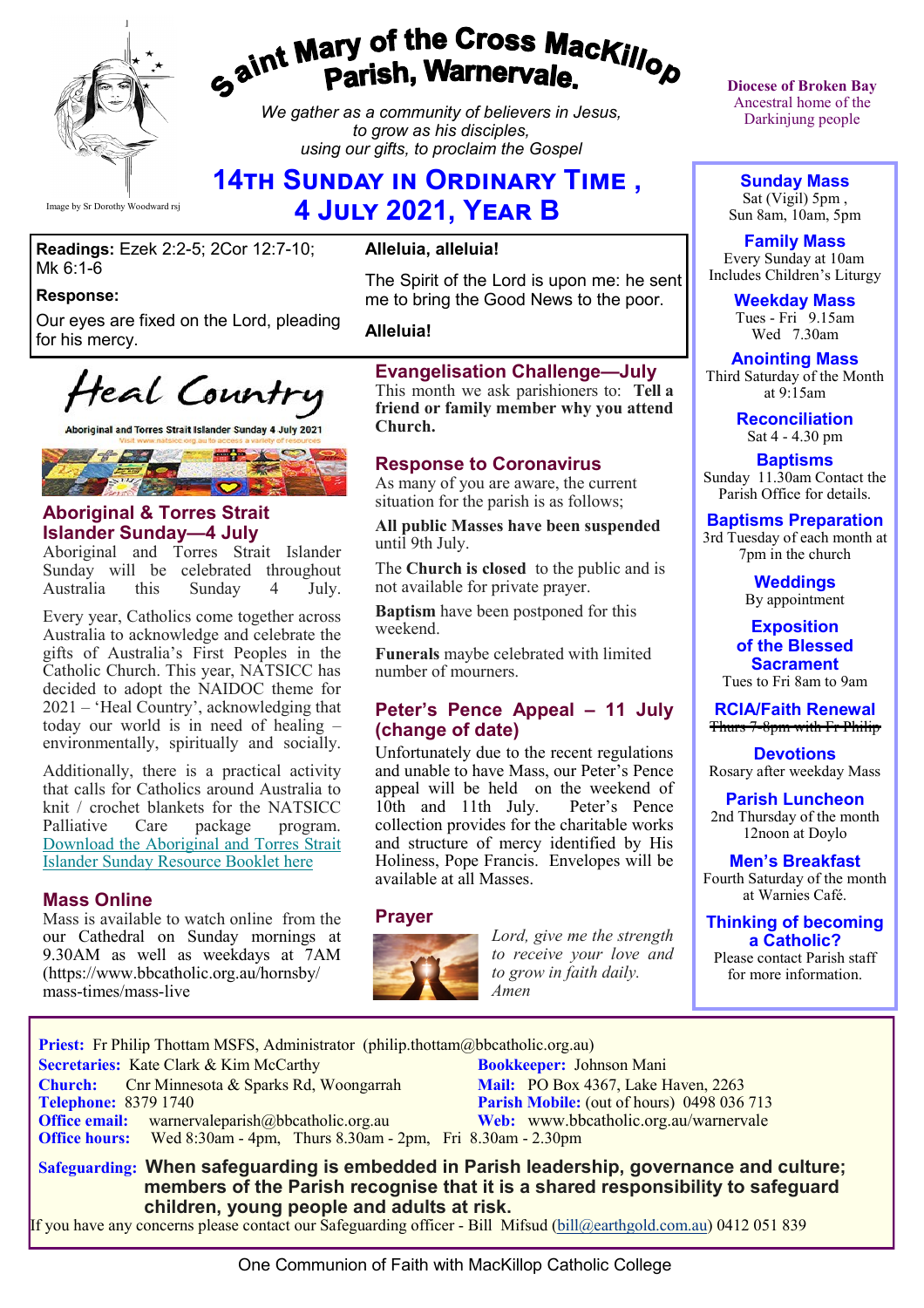

# gaint Mary of the Cross Mackillo<sub>p</sub><br>g<sup>aint</sup> Parish, Warnervale.

*We gather as a community of believers in Jesus, to grow as his disciples, using our gifts, to proclaim the Gospel*

# **14th Sunday in Ordinary Time , 4 July 2021, Year B**

#### **Readings:** Ezek 2:2-5; 2Cor 12:7-10; Mk 6:1-6

#### **Response:**

Our eyes are fixed on the Lord, pleading for his mercy.

Heal Country

Aboriginal and Torres Strait Islander Sunday 4 July 2021



#### **Aboriginal & Torres Strait Islander Sunday—4 July**

Aboriginal and Torres Strait Islander Sunday will be celebrated throughout<br>Australia this Sunday 4 July. Australia this Sunday 4

Every year, Catholics come together across Australia to acknowledge and celebrate the gifts of Australia's First Peoples in the Catholic Church. This year, NATSICC has decided to adopt the NAIDOC theme for 2021 – 'Heal Country', acknowledging that today our world is in need of healing – environmentally, spiritually and socially.

Additionally, there is a practical activity that calls for Catholics around Australia to knit / crochet blankets for the NATSICC Palliative Care package program. [Download the Aboriginal and Torres Strait](https://bbcatholic.us8.list-manage.com/track/click?u=466af249e088db70ab864d088&id=81f70a8e27&e=e312df0f80)  [Islander Sunday Resource Booklet here](https://bbcatholic.us8.list-manage.com/track/click?u=466af249e088db70ab864d088&id=81f70a8e27&e=e312df0f80)

#### **Mass Online**

Mass is available to watch online from the our Cathedral on Sunday mornings at 9.30AM as well as weekdays at 7AM (https://www.bbcatholic.org.au/hornsby/ mass-times/mass-live

### **Alleluia, alleluia!**

The Spirit of the Lord is upon me: he sent me to bring the Good News to the poor.

**Alleluia!**

#### **Evangelisation Challenge—July**

This month we ask parishioners to: **Tell a friend or family member why you attend Church.** 

#### **Response to Coronavirus**

As many of you are aware, the current situation for the parish is as follows;

**All public Masses have been suspended**  until 9th July.

The **Church is closed** to the public and is not available for private prayer.

**Baptism** have been postponed for this weekend.

**Funerals** maybe celebrated with limited number of mourners.

#### **Peter's Pence Appeal – 11 July (change of date)**

Unfortunately due to the recent regulations and unable to have Mass, our Peter's Pence appeal will be held on the weekend of<br>10th and 11th July. Peter's Pence  $10th$  and  $11th$  July. collection provides for the charitable works and structure of mercy identified by His Holiness, Pope Francis. Envelopes will be available at all Masses.

#### **Prayer**



*Lord, give me the strength to receive your love and to grow in faith daily. Amen*

**Diocese of Broken Bay**  Ancestral home of the Darkinjung people

**Sunday Mass** Sat (Vigil) 5pm , Sun 8am, 10am, 5pm

**Family Mass**  Every Sunday at 10am Includes Children's Liturgy

> **Weekday Mass** Tues - Fri 9.15am Wed 7.30am

**Anointing Mass** Third Saturday of the Month at 9:15am

> **Reconciliation** Sat 4 - 4.30 pm

**Baptisms** Sunday 11.30am Contact the Parish Office for details.

**Baptisms Preparation** 3rd Tuesday of each month at 7pm in the church

> **Weddings**  By appointment

**Exposition of the Blessed Sacrament** Tues to Fri 8am to 9am

**RCIA/Faith Renewal**  Thurs 7-8pm with Fr Philip

**Devotions** Rosary after weekday Mass

**Parish Luncheon** 2nd Thursday of the month 12noon at Doylo

**Men's Breakfast** Fourth Saturday of the month at Warnies Café.

**Thinking of becoming a Catholic?**

Please contact Parish staff for more information.

**Priest:** Fr Philip Thottam MSFS, Administrator (philip.thottam@bbcatholic.org.au)

 **Secretaries:** Kate Clark & Kim McCarthy **Bookkeeper:** Johnson Mani

**Church:** Cnr Minnesota & Sparks Rd, Woongarrah **Mail:** PO Box 4367, Lake Haven, 2263<br> **Telephone:** 8379 1740 **Parish Mobile:** (out of hours) 0498 036 **Office email:** warnervaleparish@bbcatholic.org.au **Web:** [www.bbcatholic.org.au/warnervale](https://www.bbcatholic.org.au/warnervale)  **Office hours:** Wed 8:30am - 4pm, Thurs 8.30am - 2pm, Fri 8.30am - 2.30pm

**Parish Mobile:** (out of hours) 0498 036 713

 **Safeguarding: When safeguarding is embedded in Parish leadership, governance and culture; members of the Parish recognise that it is a shared responsibility to safeguard children, young people and adults at risk.**

If you have any concerns please contact our Safeguarding officer - Bill Mifsud ([bill@earthgold.com.au\)](mailto:bill@earthgold.com.au) 0412 051 839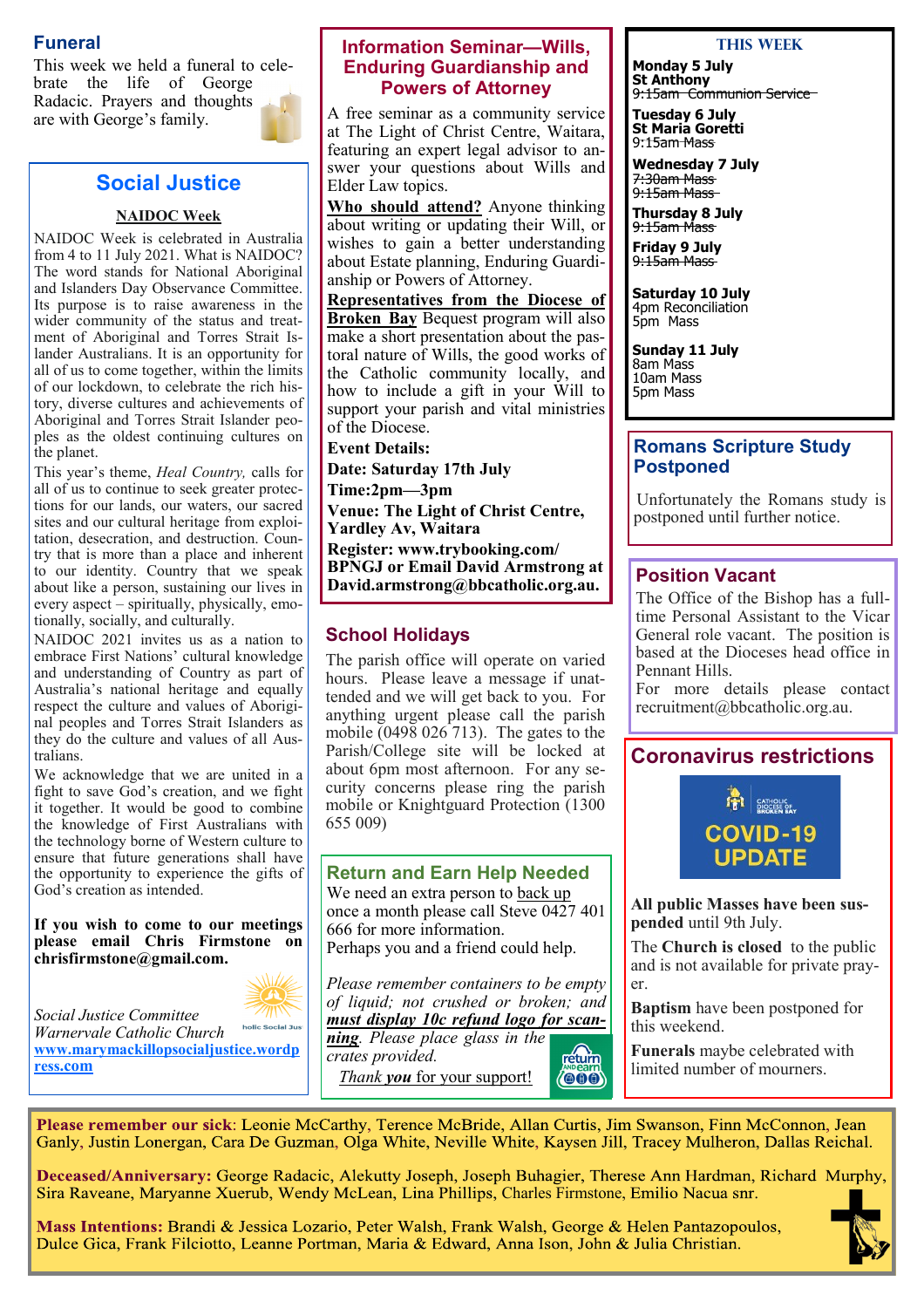### **Funeral**

This week we held a funeral to celebrate the life of George Radacic. Prayers and thoughts are with George's family.



### **Social Justice**

#### **NAIDOC Week**

NAIDOC Week is celebrated in Australia from 4 to 11 July 2021. What is NAIDOC? The word stands for National Aboriginal and Islanders Day Observance Committee. Its purpose is to raise awareness in the wider community of the status and treatment of Aboriginal and Torres Strait Islander Australians. It is an opportunity for all of us to come together, within the limits of our lockdown, to celebrate the rich history, diverse cultures and achievements of Aboriginal and Torres Strait Islander peoples as the oldest continuing cultures on the planet.

This year's theme, *Heal Country,* calls for all of us to continue to seek greater protections for our lands, our waters, our sacred sites and our cultural heritage from exploitation, desecration, and destruction. Country that is more than a place and inherent to our identity. Country that we speak about like a person, sustaining our lives in every aspect – spiritually, physically, emotionally, socially, and culturally.

NAIDOC 2021 invites us as a nation to embrace First Nations' cultural knowledge and understanding of Country as part of Australia's national heritage and equally respect the culture and values of Aboriginal peoples and Torres Strait Islanders as they do the culture and values of all Australians.

We acknowledge that we are united in a fight to save God's creation, and we fight it together. It would be good to combine the knowledge of First Australians with the technology borne of Western culture to ensure that future generations shall have the opportunity to experience the gifts of God's creation as intended.

**If you wish to come to our meetings please email Chris Firmstone on chrisfirmstone@gmail.com.**



*Social Justice Committee*  holic Social Jus *Warnervale Catholic Church*  **[www.marymackillopsocialjustice.wordp](http://www.marymackillopsocialjustice.wordpress.com) ress[.com](http://www.marymackillopsocialjustice.wordpress.com)**

#### **Information Seminar—Wills, Enduring Guardianship and Powers of Attorney**

A free seminar as a community service at The Light of Christ Centre, Waitara, featuring an expert legal advisor to answer your questions about Wills and Elder Law topics.

**Who should attend?** Anyone thinking about writing or updating their Will, or wishes to gain a better understanding about Estate planning, Enduring Guardianship or Powers of Attorney.

**Representatives from the Diocese of Broken Bay** Bequest program will also make a short presentation about the pastoral nature of Wills, the good works of the Catholic community locally, and how to include a gift in your Will to support your parish and vital ministries of the Diocese.

**Event Details:**

**Date: Saturday 17th July**

**Time:2pm—3pm**

**Venue: The Light of Christ Centre, Yardley Av, Waitara Register: www.trybooking.com/ BPNGJ or Email David Armstrong at David.armstrong@bbcatholic.org.au. Position Vacant**

### **School Holidays**

The parish office will operate on varied hours. Please leave a message if unattended and we will get back to you. For anything urgent please call the parish mobile (0498 026 713). The gates to the Parish/College site will be locked at about 6pm most afternoon. For any security concerns please ring the parish mobile or Knightguard Protection (1300 655 009)

### **Return and Earn Help Needed** We need an extra person to back up once a month please call Steve 0427 401 666 for more information. Perhaps you and a friend could help.

*Please remember containers to be empty of liquid; not crushed or broken; and must display 10c refund logo for scan-*

> return  $(000)$

*ning. Please place glass in the crates provided.* 

*Thank you* for your support!

#### **This Week**

**Monday 5 July St Anthony** 9:15am Communion Service

**Tuesday 6 July St Maria Goretti** 9:15am Mass

**Wednesday 7 July** 7:30am Mass 9:15am Mass

**Thursday 8 July** 9:15am Mass

**Friday 9 July** 9:15am Mass

**Saturday 10 July** 4pm Reconciliation 5pm Mass

**Sunday 11 July** 8am Mass 10am Mass 5pm Mass

#### **Romans Scripture Study Postponed**

 Unfortunately the Romans study is postponed until further notice.

The Office of the Bishop has a fulltime Personal Assistant to the Vicar General role vacant. The position is based at the Dioceses head office in Pennant Hills.

For more details please contact recruitment@bbcatholic.org.au.

### **Coronavirus restrictions**



**All public Masses have been suspended** until 9th July.

The **Church is closed** to the public and is not available for private prayer.

**Baptism** have been postponed for this weekend.

**Funerals** maybe celebrated with limited number of mourners.

Please remember our sick: Leonie McCarthy, Terence McBride, Allan Curtis, Jim Swanson, Finn McConnon, Jean Ganly, Justin Lonergan, Cara De Guzman, Olga White, Neville White, Kaysen Jill, Tracey Mulheron, Dallas Reichal.

Deceased/Anniversary: George Radacic, Alekutty Joseph, Joseph Buhagier, Therese Ann Hardman, Richard Murphy, Sira Raveane, Maryanne Xuerub, Wendy McLean, Lina Phillips, Charles Firmstone, Emilio Nacua snr.

Mass Intentions: Brandi & Jessica Lozario, Peter Walsh, Frank Walsh, George & Helen Pantazopoulos, Dulce Gica, Frank Filciotto, Leanne Portman, Maria & Edward, Anna Ison, John & Julia Christian.

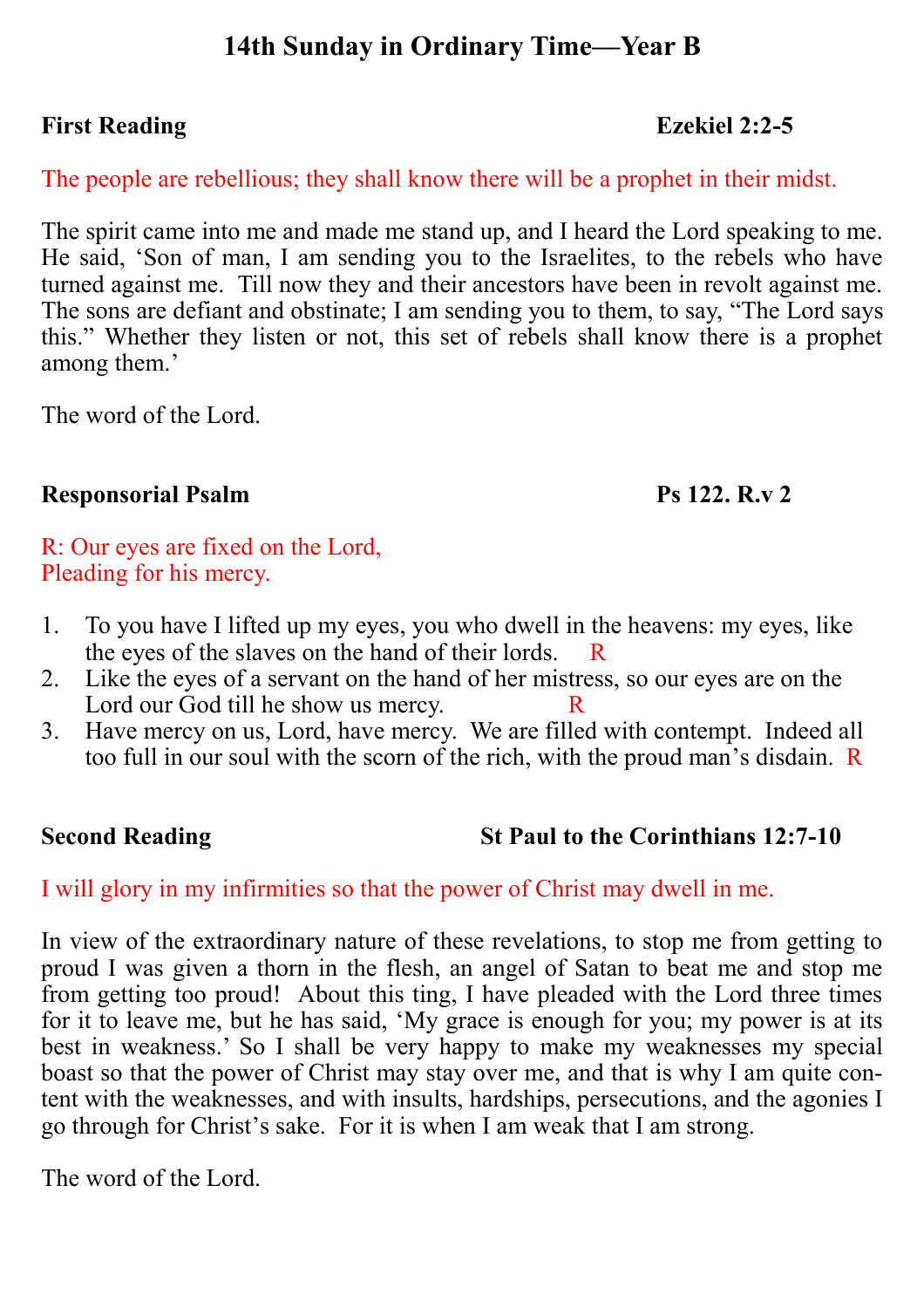# **14th Sunday in Ordinary Time—Year B**

# **First Reading Ezekiel 2:2-5**

# The people are rebellious; they shall know there will be a prophet in their midst.

The spirit came into me and made me stand up, and I heard the Lord speaking to me. He said, 'Son of man, I am sending you to the Israelites, to the rebels who have turned against me. Till now they and their ancestors have been in revolt against me. The sons are defiant and obstinate; I am sending you to them, to say, "The Lord says this." Whether they listen or not, this set of rebels shall know there is a prophet among them.'

The word of the Lord.

# **Responsorial Psalm Ps 122. R.v 2**

R: Our eyes are fixed on the Lord, Pleading for his mercy.

- 1. To you have I lifted up my eyes, you who dwell in the heavens: my eyes, like the eyes of the slaves on the hand of their lords. R
- 2. Like the eyes of a servant on the hand of her mistress, so our eyes are on the Lord our God till he show us mercy.
- 3. Have mercy on us, Lord, have mercy. We are filled with contempt. Indeed all too full in our soul with the scorn of the rich, with the proud man's disdain. R

# **Second Reading St Paul to the Corinthians 12:7-10**

# I will glory in my infirmities so that the power of Christ may dwell in me.

In view of the extraordinary nature of these revelations, to stop me from getting to proud I was given a thorn in the flesh, an angel of Satan to beat me and stop me from getting too proud! About this ting, I have pleaded with the Lord three times for it to leave me, but he has said, 'My grace is enough for you; my power is at its best in weakness.' So I shall be very happy to make my weaknesses my special boast so that the power of Christ may stay over me, and that is why I am quite content with the weaknesses, and with insults, hardships, persecutions, and the agonies I go through for Christ's sake. For it is when I am weak that I am strong.

The word of the Lord.